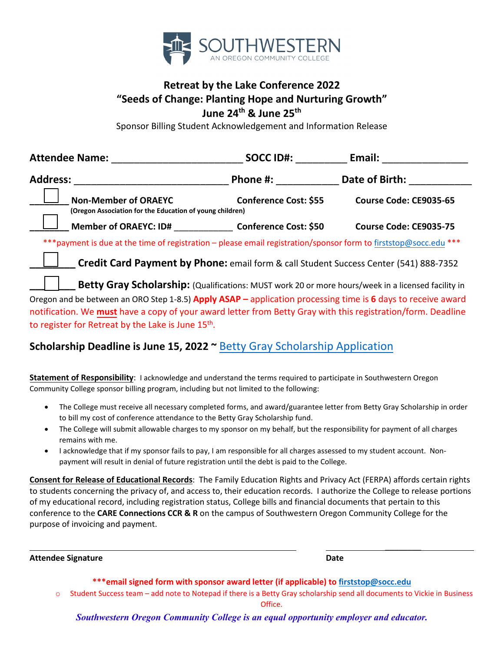

## **Retreat by the Lake Conference 2022 "Seeds of Change: Planting Hope and Nurturing Growth" June 24th & June 25th**

Sponsor Billing Student Acknowledgement and Information Release

| <b>Attendee Name:</b> |                                                                                                                                                                                                                              | <b>SOCC ID#:</b>                                                                                   | Email:                 |  |
|-----------------------|------------------------------------------------------------------------------------------------------------------------------------------------------------------------------------------------------------------------------|----------------------------------------------------------------------------------------------------|------------------------|--|
| <b>Address:</b>       |                                                                                                                                                                                                                              | Phone #:                                                                                           | Date of Birth:         |  |
|                       | <b>Non-Member of ORAEYC</b><br>(Oregon Association for the Education of young children)                                                                                                                                      | Conference Cost: \$55                                                                              | Course Code: CE9035-65 |  |
|                       | Member of ORAEYC: ID# Conference Cost: \$50                                                                                                                                                                                  |                                                                                                    | Course Code: CE9035-75 |  |
|                       | *** payment is due at the time of registration - please email registration/sponsor form to firststop@socc.edu ***                                                                                                            |                                                                                                    |                        |  |
|                       |                                                                                                                                                                                                                              | Credit Card Payment by Phone: email form & call Student Success Center (541) 888-7352              |                        |  |
|                       |                                                                                                                                                                                                                              | Betty Gray Scholarship: (Qualifications: MUST work 20 or more hours/week in a licensed facility in |                        |  |
|                       | Oregon and be between an ORO Step 1-8.5) Apply ASAP - application processing time is 6 days to receive award<br>notification. We must have a copy of your award letter from Betty Gray with this registration/form. Deadline |                                                                                                    |                        |  |

to register for Retreat by the Lake is June 15<sup>th</sup>.

#### **Scholarship Deadline is June 15, 2022 ~** [Betty Gray Scholarship Application](https://portlandstate.qualtrics.com/jfe/form/SV_0x5rJ5viCaWWm0J)

**Statement of Responsibility**: I acknowledge and understand the terms required to participate in Southwestern Oregon Community College sponsor billing program, including but not limited to the following:

- The College must receive all necessary completed forms, and award/guarantee letter from Betty Gray Scholarship in order to bill my cost of conference attendance to the Betty Gray Scholarship fund.
- The College will submit allowable charges to my sponsor on my behalf, but the responsibility for payment of all charges remains with me.
- I acknowledge that if my sponsor fails to pay, I am responsible for all charges assessed to my student account. Nonpayment will result in denial of future registration until the debt is paid to the College.

**Consent for Release of Educational Records**: The Family Education Rights and Privacy Act (FERPA) affords certain rights to students concerning the privacy of, and access to, their education records. I authorize the College to release portions of my educational record, including registration status, College bills and financial documents that pertain to this conference to the **CARE Connections CCR & R** on the campus of Southwestern Oregon Community College for the purpose of invoicing and payment.

**Attendee Signature Date**

 $\overline{\phantom{a}}$ 

**\*\*\*email signed form with sponsor award letter (if applicable) t[o firststop@socc.edu](mailto:firststop@socc.edu)**

o Student Success team – add note to Notepad if there is a Betty Gray scholarship send all documents to Vickie in Business Office.

*Southwestern Oregon Community College is an equal opportunity employer and educator.*